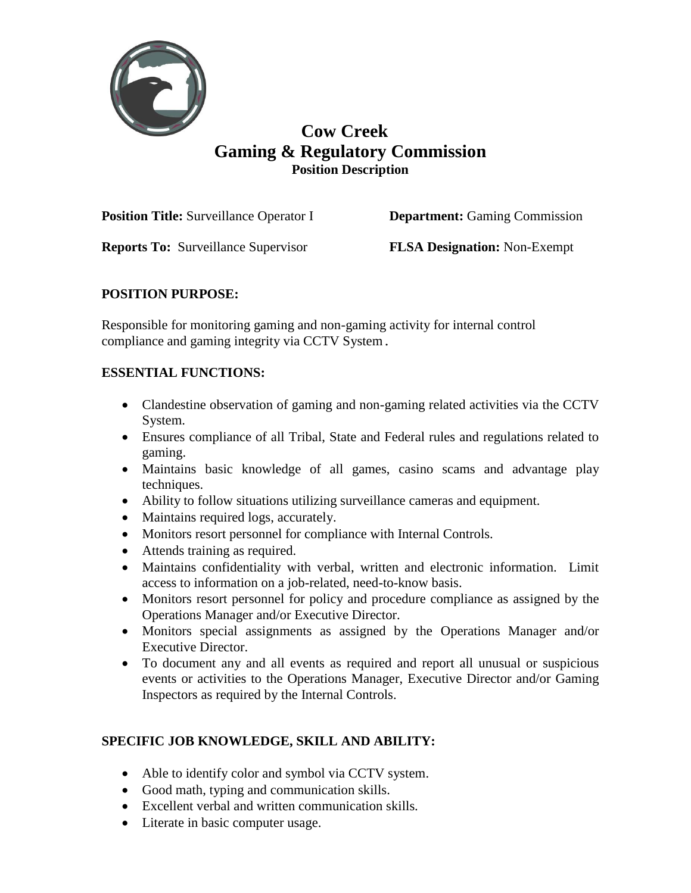

# **Cow Creek Gaming & Regulatory Commission Position Description**

**Position Title:** Surveillance Operator I **Department:** Gaming Commission

**Reports To:** Surveillance Supervisor **FLSA Designation:** Non-Exempt

### **POSITION PURPOSE:**

Responsible for monitoring gaming and non-gaming activity for internal control compliance and gaming integrity via CCTV System**.**

### **ESSENTIAL FUNCTIONS:**

- Clandestine observation of gaming and non-gaming related activities via the CCTV System.
- Ensures compliance of all Tribal, State and Federal rules and regulations related to gaming.
- Maintains basic knowledge of all games, casino scams and advantage play techniques.
- Ability to follow situations utilizing surveillance cameras and equipment.
- Maintains required logs, accurately.
- Monitors resort personnel for compliance with Internal Controls.
- Attends training as required.
- Maintains confidentiality with verbal, written and electronic information. Limit access to information on a job-related, need-to-know basis.
- Monitors resort personnel for policy and procedure compliance as assigned by the Operations Manager and/or Executive Director.
- Monitors special assignments as assigned by the Operations Manager and/or Executive Director.
- To document any and all events as required and report all unusual or suspicious events or activities to the Operations Manager, Executive Director and/or Gaming Inspectors as required by the Internal Controls.

### **SPECIFIC JOB KNOWLEDGE, SKILL AND ABILITY:**

- Able to identify color and symbol via CCTV system.
- Good math, typing and communication skills.
- Excellent verbal and written communication skills.
- Literate in basic computer usage.